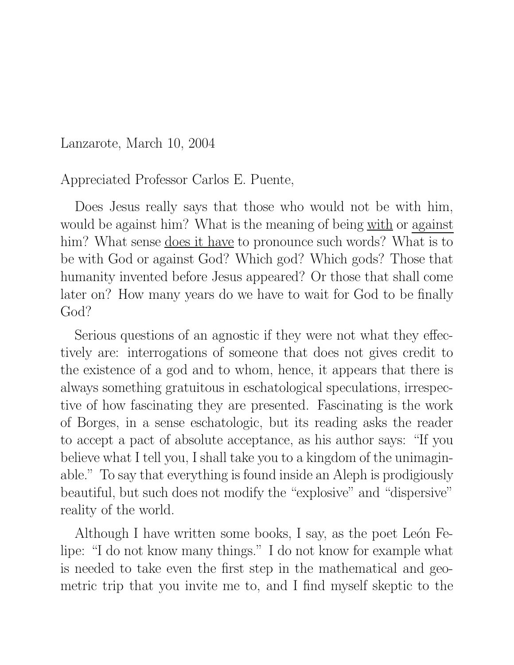Lanzarote, March 10, 2004

Appreciated Professor Carlos E. Puente,

Does Jesus really says that those who would not be with him, would be against him? What is the meaning of being with or against him? What sense <u>does it have</u> to pronounce such words? What is to be with God or against God? Which god? Which gods? Those that humanity invented before Jesus appeared? Or those that shall come later on? How many years do we have to wait for God to be finally God?

Serious questions of an agnostic if they were not what they effectively are: interrogations of someone that does not gives credit to the existence of a god and to whom, hence, it appears that there is always something gratuitous in eschatological speculations, irrespective of how fascinating they are presented. Fascinating is the work of Borges, in a sense eschatologic, but its reading asks the reader to accept a pact of absolute acceptance, as his author says: "If you believe what I tell you, I shall take you to a kingdom of the unimaginable." To say that everything is found inside an Aleph is prodigiously beautiful, but such does not modify the "explosive" and "dispersive" reality of the world.

Although I have written some books, I say, as the poet León Felipe: "I do not know many things." I do not know for example what is needed to take even the first step in the mathematical and geometric trip that you invite me to, and I find myself skeptic to the